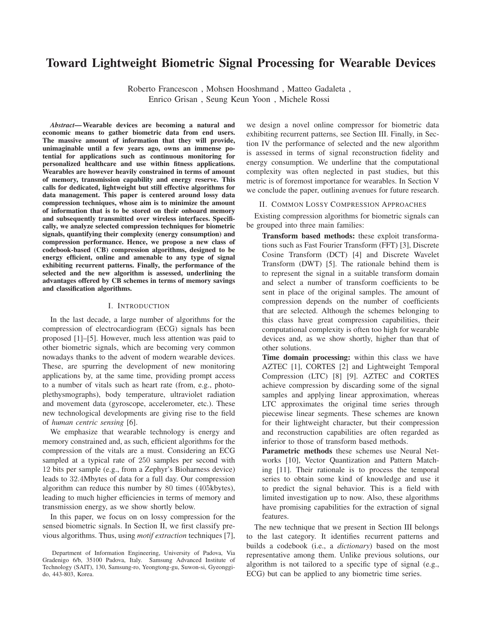# **Toward Lightweight Biometric Signal Processing for Wearable Devices**

Roberto Francescon, Mohsen Hooshmand, Matteo Gadaleta, Enrico Grisan, Seung Keun Yoon, Michele Rossi

Abstract-Wearable devices are becoming a natural and economic means to gather biometric data from end users. The massive amount of information that they will provide, unimaginable until a few years ago, owns an immense potential for applications such as continuous monitoring for personalized healthcare and use within fitness applications. Wearables are however heavily constrained in terms of amount of memory, transmission capability and energy reserve. This calls for dedicated, lightweight but still effective algorithms for data management. This paper is centered around lossy data compression techniques, whose aim is to minimize the amount of information that is to be stored on their onboard memory and subsequently transmitted over wireless interfaces. Specifically, we analyze selected compression techniques for biometric signals, quantifying their complexity (energy consumption) and compression performance. Hence, we propose a new class of codebook-based (CB) compression algorithms, designed to be energy efficient, online and amenable to any type of signal exhibiting recurrent patterns. Finally, the performance of the selected and the new algorithm is assessed, underlining the advantages offered by CB schemes in terms of memory savings and classification algorithms.

#### I. INTRODUCTION

In the last decade, a large number of algorithms for the compression of electrocardiogram (ECG) signals has been proposed [1]–[5]. However, much less attention was paid to other biometric signals, which are becoming very common nowadays thanks to the advent of modern wearable devices. These, are spurring the development of new monitoring applications by, at the same time, providing prompt access to a number of vitals such as heart rate (from, e.g., photoplethysmographs), body temperature, ultraviolet radiation and movement data (gyroscope, accelerometer, etc.). These new technological developments are giving rise to the field of human centric sensing [6].

We emphasize that wearable technology is energy and memory constrained and, as such, efficient algorithms for the compression of the vitals are a must. Considering an ECG sampled at a typical rate of 250 samples per second with 12 bits per sample (e.g., from a Zephyr's Bioharness device) leads to 32.4Mbytes of data for a full day. Our compression algorithm can reduce this number by 80 times (405kbytes), leading to much higher efficiencies in terms of memory and transmission energy, as we show shortly below.

In this paper, we focus on on lossy compression for the sensed biometric signals. In Section II, we first classify previous algorithms. Thus, using *motif extraction* techniques [7], we design a novel online compressor for biometric data exhibiting recurrent patterns, see Section III. Finally, in Section IV the performance of selected and the new algorithm is assessed in terms of signal reconstruction fidelity and energy consumption. We underline that the computational complexity was often neglected in past studies, but this metric is of foremost importance for wearables. In Section V we conclude the paper, outlining avenues for future research.

## **II. COMMON LOSSY COMPRESSION APPROACHES**

Existing compression algorithms for biometric signals can be grouped into three main families:

Transform based methods: these exploit transformations such as Fast Fourier Transform (FFT) [3], Discrete Cosine Transform (DCT) [4] and Discrete Wavelet Transform (DWT) [5]. The rationale behind them is to represent the signal in a suitable transform domain and select a number of transform coefficients to be sent in place of the original samples. The amount of compression depends on the number of coefficients that are selected. Although the schemes belonging to this class have great compression capabilities, their computational complexity is often too high for wearable devices and, as we show shortly, higher than that of other solutions.

Time domain processing: within this class we have AZTEC [1], CORTES [2] and Lightweight Temporal Compression (LTC) [8] [9]. AZTEC and CORTES achieve compression by discarding some of the signal samples and applying linear approximation, whereas LTC approximates the original time series through piecewise linear segments. These schemes are known for their lightweight character, but their compression and reconstruction capabilities are often regarded as inferior to those of transform based methods.

Parametric methods these schemes use Neural Networks [10], Vector Quantization and Pattern Matching [11]. Their rationale is to process the temporal series to obtain some kind of knowledge and use it to predict the signal behavior. This is a field with limited investigation up to now. Also, these algorithms have promising capabilities for the extraction of signal features.

The new technique that we present in Section III belongs to the last category. It identifies recurrent patterns and builds a codebook (i.e., a *dictionary*) based on the most representative among them. Unlike previous solutions, our algorithm is not tailored to a specific type of signal (e.g., ECG) but can be applied to any biometric time series.

Department of Information Engineering, University of Padova, Via Gradenigo 6/b, 35100 Padova, Italy. Samsung Advanced Institute of Technology (SAIT), 130, Samsung-ro, Yeongtong-gu, Suwon-si, Gyeonggido, 443-803, Korea.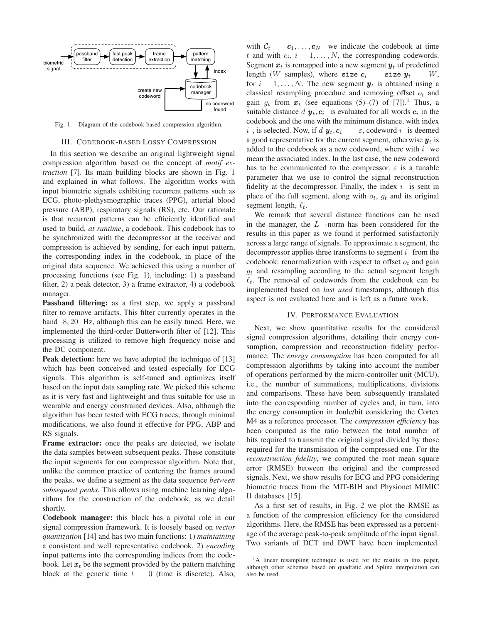

Fig. 1. Diagram of the codebook-based compression algorithm.

## **III. CODEBOOK-BASED LOSSY COMPRESSION**

In this section we describe an original lightweight signal compression algorithm based on the concept of *motif extraction* [7]. Its main building blocks are shown in Fig. 1 and explained in what follows. The algorithm works with input biometric signals exhibiting recurrent patterns such as ECG, photo-plethysmographic traces (PPG), arterial blood pressure (ABP), respiratory signals (RS), etc. Our rationale is that recurrent patterns can be efficiently identified and used to build, at runtime, a codebook. This codebook has to be synchronized with the decompressor at the receiver and compression is achieved by sending, for each input pattern, the corresponding index in the codebook, in place of the original data sequence. We achieved this using a number of processing functions (see Fig. 1), including: 1) a passband filter, 2) a peak detector, 3) a frame extractor, 4) a codebook manager.

Passband filtering: as a first step, we apply a passband filter to remove artifacts. This filter currently operates in the band 8, 20 Hz, although this can be easily tuned. Here, we implemented the third-order Butterworth filter of [12]. This processing is utilized to remove high frequency noise and the DC component.

**Peak detection:** here we have adopted the technique of [13] which has been conceived and tested especially for ECG signals. This algorithm is self-tuned and optimizes itself based on the input data sampling rate. We picked this scheme as it is very fast and lightweight and thus suitable for use in wearable and energy constrained devices. Also, although the algorithm has been tested with ECG traces, through minimal modifications, we also found it effective for PPG, ABP and RS signals.

Frame extractor: once the peaks are detected, we isolate the data samples between subsequent peaks. These constitute the input segments for our compressor algorithm. Note that, unlike the common practice of centering the frames around the peaks, we define a segment as the data sequence between subsequent peaks. This allows using machine learning algorithms for the construction of the codebook, as we detail shortly.

**Codebook manager:** this block has a pivotal role in our signal compression framework. It is loosely based on *vector quantization* [14] and has two main functions: 1) *maintaining* a consistent and well representative codebook, 2) encoding input patterns into the corresponding indices from the codebook. Let  $x_t$  be the segment provided by the pattern matching block at the generic time  $t$ 0 (time is discrete). Also,

 $c_1, \ldots, c_N$  we indicate the codebook at time with  $\mathcal{C}_t$ t and with  $c_i$ ,  $i = 1, \ldots, N$ , the corresponding codewords. Segment  $x_t$  is remapped into a new segment  $y_t$  of predefined length (*W* samples), where size  $c_i$ size  $y_t$ W.  $1, \ldots, N$ . The new segment  $y_t$  is obtained using a for  $i$ classical resampling procedure and removing offset  $o_t$  and gain  $g_t$  from  $x_t$  (see equations (5)–(7) of [7]).<sup>1</sup> Thus, a suitable distance  $d\mathbf{y}_t, \mathbf{c}_i$  is evaluated for all words  $\mathbf{c}_i$  in the codebook and the one with the minimum distance, with index i, is selected. Now, if d  $y_t$ ,  $c_i$  $\varepsilon$ , codeword *i* is deemed a good representative for the current segment, otherwise  $y_t$  is added to the codebook as a new codeword, where with  $i$  we mean the associated index. In the last case, the new codeword has to be communicated to the compressor.  $\varepsilon$  is a tunable parameter that we use to control the signal reconstruction fidelity at the decompressor. Finally, the index  $i$  is sent in place of the full segment, along with  $o_t$ ,  $g_t$  and its original segment length,  $\ell_t$ .

We remark that several distance functions can be used in the manager, the  $L$  -norm has been considered for the results in this paper as we found it performed satisfactorily across a large range of signals. To approximate a segment, the decompressor applies three transforms to segment  $i$  from the codebook: renormalization with respect to offset  $o_t$  and gain  $g_t$  and resampling according to the actual segment length  $\ell_t$ . The removal of codewords from the codebook can be implemented based on last used timestamps, although this aspect is not evaluated here and is left as a future work.

## **IV. PERFORMANCE EVALUATION**

Next, we show quantitative results for the considered signal compression algorithms, detailing their energy consumption, compression and reconstruction fidelity performance. The *energy consumption* has been computed for all compression algorithms by taking into account the number of operations performed by the micro-controller unit (MCU), i.e., the number of summations, multiplications, divisions and comparisons. These have been subsequently translated into the corresponding number of cycles and, in turn, into the energy consumption in Joule/bit considering the Cortex M4 as a reference processor. The *compression efficiency* has been computed as the ratio between the total number of bits required to transmit the original signal divided by those required for the transmission of the compressed one. For the reconstruction fidelity, we computed the root mean square error (RMSE) between the original and the compressed signals. Next, we show results for ECG and PPG considering biometric traces from the MIT-BIH and Physionet MIMIC II databases [15].

As a first set of results, in Fig. 2 we plot the RMSE as a function of the compression efficiency for the considered algorithms. Here, the RMSE has been expressed as a percentage of the average peak-to-peak amplitude of the input signal. Two variants of DCT and DWT have been implemented.

<sup>&</sup>lt;sup>1</sup>A linear resampling technique is used for the results in this paper, although other schemes based on quadratic and Spline interpolation can also be used.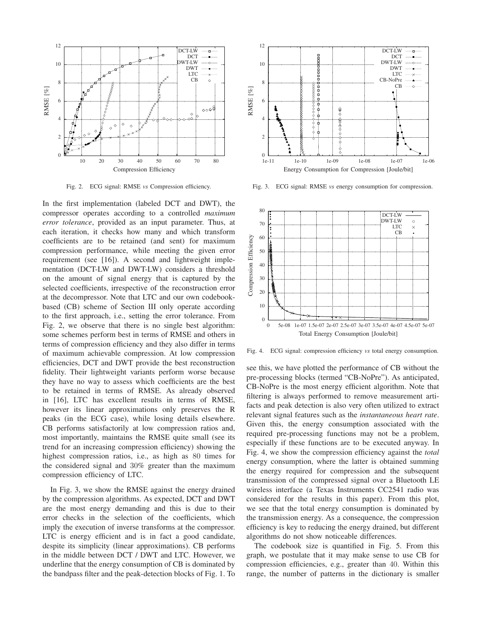

Fig. 2. ECG signal: RMSE vs Compression efficiency.

In the first implementation (labeled DCT and DWT), the compressor operates according to a controlled *maximum* error tolerance, provided as an input parameter. Thus, at each iteration, it checks how many and which transform coefficients are to be retained (and sent) for maximum compression performance, while meeting the given error requirement (see [16]). A second and lightweight implementation (DCT-LW and DWT-LW) considers a threshold on the amount of signal energy that is captured by the selected coefficients, irrespective of the reconstruction error at the decompressor. Note that LTC and our own codebookbased (CB) scheme of Section III only operate according to the first approach, i.e., setting the error tolerance. From Fig. 2, we observe that there is no single best algorithm: some schemes perform best in terms of RMSE and others in terms of compression efficiency and they also differ in terms of maximum achievable compression. At low compression efficiencies, DCT and DWT provide the best reconstruction fidelity. Their lightweight variants perform worse because they have no way to assess which coefficients are the best to be retained in terms of RMSE. As already observed in [16], LTC has excellent results in terms of RMSE, however its linear approximations only preserves the R peaks (in the ECG case), while losing details elsewhere. CB performs satisfactorily at low compression ratios and, most importantly, maintains the RMSE quite small (see its trend for an increasing compression efficiency) showing the highest compression ratios, i.e., as high as 80 times for the considered signal and 30% greater than the maximum compression efficiency of LTC.

In Fig. 3, we show the RMSE against the energy drained by the compression algorithms. As expected, DCT and DWT are the most energy demanding and this is due to their error checks in the selection of the coefficients, which imply the execution of inverse transforms at the compressor. LTC is energy efficient and is in fact a good candidate, despite its simplicity (linear approximations). CB performs in the middle between DCT / DWT and LTC. However, we underline that the energy consumption of CB is dominated by the bandpass filter and the peak-detection blocks of Fig. 1. To



Fig. 3. ECG signal: RMSE vs energy consumption for compression.



Fig. 4. ECG signal: compression efficiency vs total energy consumption.

see this, we have plotted the performance of CB without the pre-processing blocks (termed "CB-NoPre"). As anticipated, CB-NoPre is the most energy efficient algorithm. Note that filtering is always performed to remove measurement artifacts and peak detection is also very often utilized to extract relevant signal features such as the instantaneous heart rate. Given this, the energy consumption associated with the required pre-processing functions may not be a problem, especially if these functions are to be executed anyway. In Fig. 4, we show the compression efficiency against the *total* energy consumption, where the latter is obtained summing the energy required for compression and the subsequent transmission of the compressed signal over a Bluetooth LE wireless interface (a Texas Instruments CC2541 radio was considered for the results in this paper). From this plot, we see that the total energy consumption is dominated by the transmission energy. As a consequence, the compression efficiency is key to reducing the energy drained, but different algorithms do not show noticeable differences.

The codebook size is quantified in Fig. 5. From this graph, we postulate that it may make sense to use CB for compression efficiencies, e.g., greater than 40. Within this range, the number of patterns in the dictionary is smaller